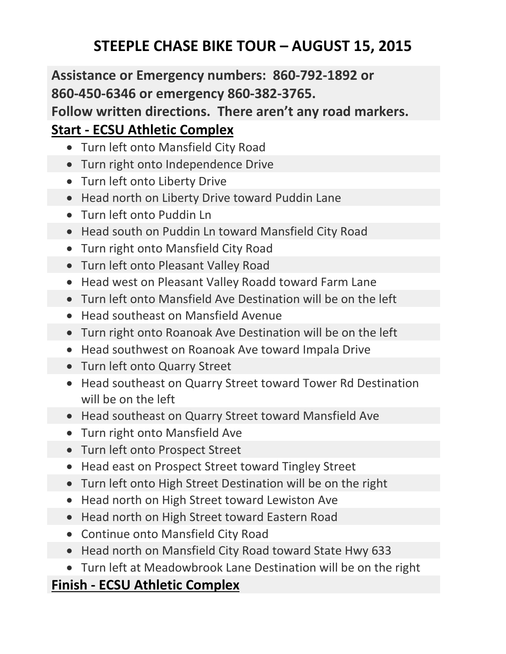## **STEEPLE CHASE BIKE TOUR – AUGUST 15, 2015**

## **Assistance or Emergency numbers: 860-792-1892 or 860-450-6346 or emergency 860-382-3765. Follow written directions. There aren't any road markers. Start - ECSU Athletic Complex**

- Turn left onto Mansfield City Road
- Turn right onto Independence Drive
- Turn left onto Liberty Drive
- Head north on Liberty Drive toward Puddin Lane
- Turn left onto Puddin Ln
- Head south on Puddin Ln toward Mansfield City Road
- Turn right onto Mansfield City Road
- Turn left onto Pleasant Valley Road
- Head west on Pleasant Valley Roadd toward Farm Lane
- Turn left onto Mansfield Ave Destination will be on the left
- Head southeast on Mansfield Avenue
- Turn right onto Roanoak Ave Destination will be on the left
- Head southwest on Roanoak Ave toward Impala Drive
- Turn left onto Quarry Street
- Head southeast on Quarry Street toward Tower Rd Destination will be on the left
- Head southeast on Quarry Street toward Mansfield Ave
- Turn right onto Mansfield Ave
- Turn left onto Prospect Street
- Head east on Prospect Street toward Tingley Street
- Turn left onto High Street Destination will be on the right
- Head north on High Street toward Lewiston Ave
- Head north on High Street toward Eastern Road
- Continue onto Mansfield City Road
- Head north on Mansfield City Road toward State Hwy 633
- Turn left at Meadowbrook Lane Destination will be on the right

## **Finish - ECSU Athletic Complex**